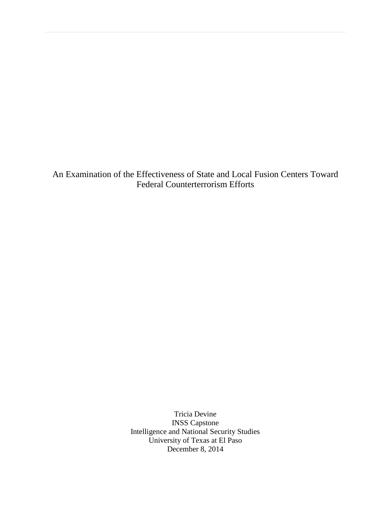An Examination of the Effectiveness of State and Local Fusion Centers Toward Federal Counterterrorism Efforts

> Tricia Devine INSS Capstone Intelligence and National Security Studies University of Texas at El Paso December 8, 2014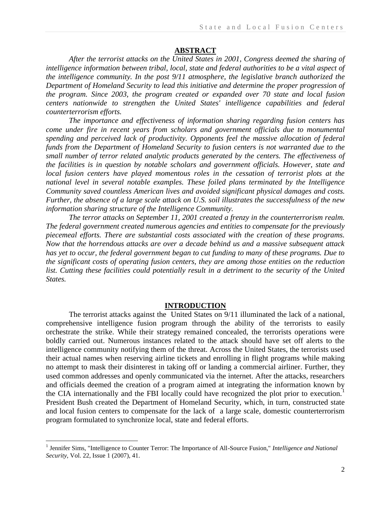### **ABSTRACT**

*After the terrorist attacks on the United States in 2001, Congress deemed the sharing of intelligence information between tribal, local, state and federal authorities to be a vital aspect of the intelligence community. In the post 9/11 atmosphere, the legislative branch authorized the Department of Homeland Security to lead this initiative and determine the proper progression of the program. Since 2003, the program created or expanded over 70 state and local fusion centers nationwide to strengthen the United States' intelligence capabilities and federal counterterrorism efforts.* 

*The importance and effectiveness of information sharing regarding fusion centers has come under fire in recent years from scholars and government officials due to monumental spending and perceived lack of productivity. Opponents feel the massive allocation of federal funds from the Department of Homeland Security to fusion centers is not warranted due to the small number of terror related analytic products generated by the centers. The effectiveness of the facilities is in question by notable scholars and government officials. However, state and local fusion centers have played momentous roles in the cessation of terrorist plots at the national level in several notable examples. These foiled plans terminated by the Intelligence Community saved countless American lives and avoided significant physical damages and costs. Further, the absence of a large scale attack on U.S. soil illustrates the successfulness of the new information sharing structure of the Intelligence Community.* 

*The terror attacks on September 11, 2001 created a frenzy in the counterterrorism realm. The federal government created numerous agencies and entities to compensate for the previously piecemeal efforts. There are substantial costs associated with the creation of these programs. Now that the horrendous attacks are over a decade behind us and a massive subsequent attack has yet to occur, the federal government began to cut funding to many of these programs. Due to the significant costs of operating fusion centers, they are among those entities on the reduction*  list. Cutting these facilities could potentially result in a detriment to the security of the United *States.*

## **INTRODUCTION**

The terrorist attacks against the United States on 9/11 illuminated the lack of a national, comprehensive intelligence fusion program through the ability of the terrorists to easily orchestrate the strike. While their strategy remained concealed, the terrorists operations were boldly carried out. Numerous instances related to the attack should have set off alerts to the intelligence community notifying them of the threat. Across the United States, the terrorists used their actual names when reserving airline tickets and enrolling in flight programs while making no attempt to mask their disinterest in taking off or landing a commercial airliner. Further, they used common addresses and openly communicated via the internet. After the attacks, researchers and officials deemed the creation of a program aimed at integrating the information known by the CIA internationally and the FBI locally could have recognized the plot prior to execution.<sup>1</sup> President Bush created the Department of Homeland Security, which, in turn, constructed state and local fusion centers to compensate for the lack of a large scale, domestic counterterrorism program formulated to synchronize local, state and federal efforts.

 1 Jennifer Sims, "Intelligence to Counter Terror: The Importance of All-Source Fusion," *Intelligence and National Security*, Vol. 22, Issue 1 (2007), 41.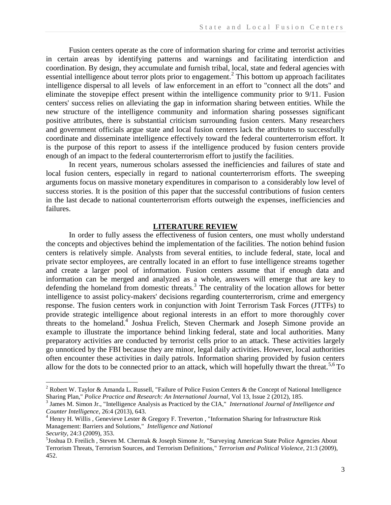Fusion centers operate as the core of information sharing for crime and terrorist activities in certain areas by identifying patterns and warnings and facilitating interdiction and coordination. By design, they accumulate and furnish tribal, local, state and federal agencies with essential intelligence about terror plots prior to engagement.<sup>2</sup> This bottom up approach facilitates intelligence dispersal to all levels of law enforcement in an effort to "connect all the dots" and eliminate the stovepipe effect present within the intelligence community prior to 9/11. Fusion centers' success relies on alleviating the gap in information sharing between entities. While the new structure of the intelligence community and information sharing possesses significant positive attributes, there is substantial criticism surrounding fusion centers. Many researchers and government officials argue state and local fusion centers lack the attributes to successfully coordinate and disseminate intelligence effectively toward the federal counterterrorism effort. It is the purpose of this report to assess if the intelligence produced by fusion centers provide enough of an impact to the federal counterterrorism effort to justify the facilities.

In recent years, numerous scholars assessed the inefficiencies and failures of state and local fusion centers, especially in regard to national counterterrorism efforts. The sweeping arguments focus on massive monetary expenditures in comparison to a considerably low level of success stories. It is the position of this paper that the successful contributions of fusion centers in the last decade to national counterterrorism efforts outweigh the expenses, inefficiencies and failures.

#### **LITERATURE REVIEW**

In order to fully assess the effectiveness of fusion centers, one must wholly understand the concepts and objectives behind the implementation of the facilities. The notion behind fusion centers is relatively simple. Analysts from several entities, to include federal, state, local and private sector employees, are centrally located in an effort to fuse intelligence streams together and create a larger pool of information. Fusion centers assume that if enough data and information can be merged and analyzed as a whole, answers will emerge that are key to defending the homeland from domestic threats.<sup>3</sup> The centrality of the location allows for better intelligence to assist policy-makers' decisions regarding counterterrorism, crime and emergency response. The fusion centers work in conjunction with Joint Terrorism Task Forces (JTTFs) to provide strategic intelligence about regional interests in an effort to more thoroughly cover threats to the homeland.<sup>4</sup> Joshua Frelich, Steven Chermark and Joseph Simone provide an example to illustrate the importance behind linking federal, state and local authorities. Many preparatory activities are conducted by terrorist cells prior to an attack. These activities largely go unnoticed by the FBI because they are minor, legal daily activities. However, local authorities often encounter these activities in daily patrols. Information sharing provided by fusion centers allow for the dots to be connected prior to an attack, which will hopefully thwart the threat.<sup>5,6</sup> To

<sup>&</sup>lt;sup>2</sup> Robert W. Taylor & Amanda L. Russell, "Failure of Police Fusion Centers & the Concept of National Intelligence Sharing Plan," *Police Practice and Research: An International Journal*, Vol 13, Issue 2 (2012), 185.

<sup>3</sup> James M. Simon Jr., "Intelligence Analysis as Practiced by the CIA," *International Journal of Intelligence and Counter Intelligence*, 26:4 (2013), 643.

<sup>&</sup>lt;sup>4</sup> Henry H. Willis, Genevieve Lester & Gregory F. Treverton, "Information Sharing for Infrastructure Risk Management: Barriers and Solutions," *Intelligence and National Security*, 24:3 (2009), 353.

<sup>5</sup> Joshua D. Freilich , Steven M. Chermak & Joseph Simone Jr, "Surveying American State Police Agencies About Terrorism Threats, Terrorism Sources, and Terrorism Definitions," *Terrorism and Political Violence*, 21:3 (2009), 452.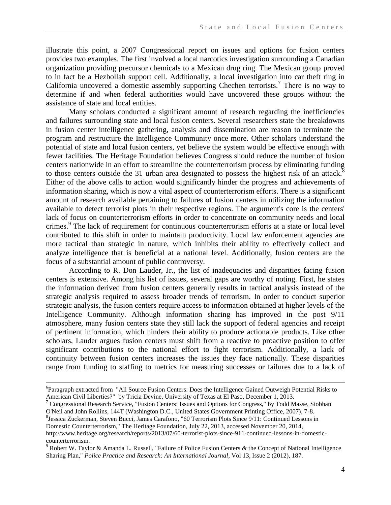illustrate this point, a 2007 Congressional report on issues and options for fusion centers provides two examples. The first involved a local narcotics investigation surrounding a Canadian organization providing precursor chemicals to a Mexican drug ring. The Mexican group proved to in fact be a Hezbollah support cell. Additionally, a local investigation into car theft ring in California uncovered a domestic assembly supporting Chechen terrorists.<sup>7</sup> There is no way to determine if and when federal authorities would have uncovered these groups without the assistance of state and local entities.

Many scholars conducted a significant amount of research regarding the inefficiencies and failures surrounding state and local fusion centers. Several researchers state the breakdowns in fusion center intelligence gathering, analysis and dissemination are reason to terminate the program and restructure the Intelligence Community once more. Other scholars understand the potential of state and local fusion centers, yet believe the system would be effective enough with fewer facilities. The Heritage Foundation believes Congress should reduce the number of fusion centers nationwide in an effort to streamline the counterterrorism process by eliminating funding to those centers outside the 31 urban area designated to possess the highest risk of an attack.<sup>8</sup> Either of the above calls to action would significantly hinder the progress and achievements of information sharing, which is now a vital aspect of counterterrorism efforts. There is a significant amount of research available pertaining to failures of fusion centers in utilizing the information available to detect terrorist plots in their respective regions. The argument's core is the centers' lack of focus on counterterrorism efforts in order to concentrate on community needs and local crimes.<sup>9</sup> The lack of requirement for continuous counterterrorism efforts at a state or local level contributed to this shift in order to maintain productivity. Local law enforcement agencies are more tactical than strategic in nature, which inhibits their ability to effectively collect and analyze intelligence that is beneficial at a national level. Additionally, fusion centers are the focus of a substantial amount of public controversy.

According to R. Don Lauder, Jr., the list of inadequacies and disparities facing fusion centers is extensive. Among his list of issues, several gaps are worthy of noting. First, he states the information derived from fusion centers generally results in tactical analysis instead of the strategic analysis required to assess broader trends of terrorism. In order to conduct superior strategic analysis, the fusion centers require access to information obtained at higher levels of the Intelligence Community. Although information sharing has improved in the post 9/11 atmosphere, many fusion centers state they still lack the support of federal agencies and receipt of pertinent information, which hinders their ability to produce actionable products. Like other scholars, Lauder argues fusion centers must shift from a reactive to proactive position to offer significant contributions to the national effort to fight terrorism. Additionally, a lack of continuity between fusion centers increases the issues they face nationally. These disparities range from funding to staffing to metrics for measuring successes or failures due to a lack of

<sup>&</sup>lt;sup>6</sup>Paragraph extracted from "All Source Fusion Centers: Does the Intelligence Gained Outweigh Potential Risks to American Civil Liberties?" by Tricia Devine, University of Texas at El Paso, December 1, 2013.

<sup>7</sup> Congressional Research Service, "Fusion Centers: Issues and Options for Congress," by Todd Masse, Siobhan O'Neil and John Rollins, 144T (Washington D.C., United States Government Printing Office, 2007), 7-8.

<sup>8</sup> Jessica Zuckerman, Steven Bucci, James Carafono, "60 Terrorism Plots Since 9/11: Continued Lessons in Domestic Counterterrorism," The Heritage Foundation, July 22, 2013, accessed November 20, 2014, http://www.heritage.org/research/reports/2013/07/60-terrorist-plots-since-911-continued-lessons-in-domesticcounterterrorism.

<sup>9</sup> Robert W. Taylor & Amanda L. Russell, "Failure of Police Fusion Centers & the Concept of National Intelligence Sharing Plan," *Police Practice and Research: An International Journal*, Vol 13, Issue 2 (2012), 187.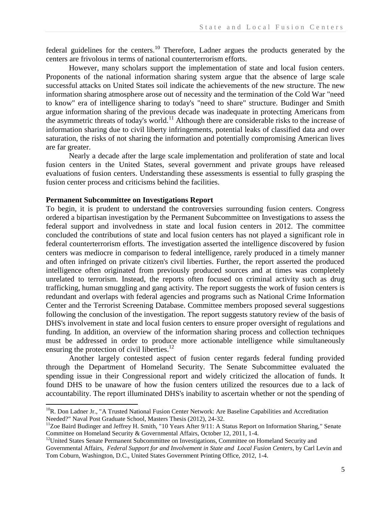federal guidelines for the centers.<sup>10</sup> Therefore, Ladner argues the products generated by the centers are frivolous in terms of national counterterrorism efforts.

However, many scholars support the implementation of state and local fusion centers. Proponents of the national information sharing system argue that the absence of large scale successful attacks on United States soil indicate the achievements of the new structure. The new information sharing atmosphere arose out of necessity and the termination of the Cold War "need to know" era of intelligence sharing to today's "need to share" structure. Budinger and Smith argue information sharing of the previous decade was inadequate in protecting Americans from the asymmetric threats of today's world.<sup>11</sup> Although there are considerable risks to the increase of information sharing due to civil liberty infringements, potential leaks of classified data and over saturation, the risks of not sharing the information and potentially compromising American lives are far greater.

Nearly a decade after the large scale implementation and proliferation of state and local fusion centers in the United States, several government and private groups have released evaluations of fusion centers. Understanding these assessments is essential to fully grasping the fusion center process and criticisms behind the facilities.

# **Permanent Subcommittee on Investigations Report**

 $\overline{\phantom{a}}$ 

To begin, it is prudent to understand the controversies surrounding fusion centers. Congress ordered a bipartisan investigation by the Permanent Subcommittee on Investigations to assess the federal support and involvedness in state and local fusion centers in 2012. The committee concluded the contributions of state and local fusion centers has not played a significant role in federal counterterrorism efforts. The investigation asserted the intelligence discovered by fusion centers was mediocre in comparison to federal intelligence, rarely produced in a timely manner and often infringed on private citizen's civil liberties. Further, the report asserted the produced intelligence often originated from previously produced sources and at times was completely unrelated to terrorism. Instead, the reports often focused on criminal activity such as drug trafficking, human smuggling and gang activity. The report suggests the work of fusion centers is redundant and overlaps with federal agencies and programs such as National Crime Information Center and the Terrorist Screening Database. Committee members proposed several suggestions following the conclusion of the investigation. The report suggests statutory review of the basis of DHS's involvement in state and local fusion centers to ensure proper oversight of regulations and funding. In addition, an overview of the information sharing process and collection techniques must be addressed in order to produce more actionable intelligence while simultaneously ensuring the protection of civil liberties. $^{12}$ 

Another largely contested aspect of fusion center regards federal funding provided through the Department of Homeland Security. The Senate Subcommittee evaluated the spending issue in their Congressional report and widely criticized the allocation of funds. It found DHS to be unaware of how the fusion centers utilized the resources due to a lack of accountability. The report illuminated DHS's inability to ascertain whether or not the spending of

<sup>&</sup>lt;sup>10</sup>R. Don Ladner Jr., "A Trusted National Fusion Center Network: Are Baseline Capabilities and Accreditation Needed?" Naval Post Graduate School, Masters Thesis (2012), 24-32.

<sup>&</sup>lt;sup>11</sup>Zoe Baird Budinger and Jeffrey H. Smith, "10 Years After 9/11: A Status Report on Information Sharing," Senate Committee on Homeland Security & Governmental Affairs, October 12, 2011, 1-4.

<sup>&</sup>lt;sup>12</sup>United States Senate Permanent Subcommittee on Investigations, Committee on Homeland Security and Governmental Affairs, *Federal Support for and Involvement in State and Local Fusion Centers*, by Carl Levin and Tom Coburn, Washington, D.C., United States Government Printing Office, 2012, 1-4.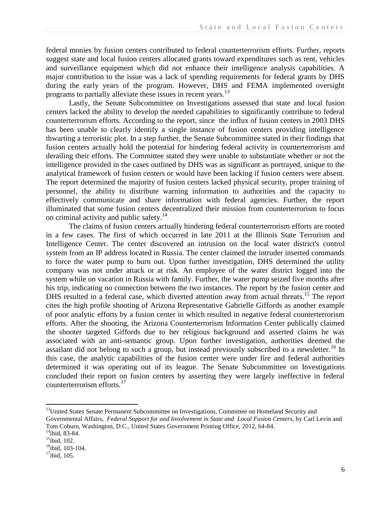federal monies by fusion centers contributed to federal counterterrorism efforts. Further, reports suggest state and local fusion centers allocated grants toward expenditures such as rent, vehicles and surveillance equipment which did not enhance their intelligence analysis capabilities. A major contribution to the issue was a lack of spending requirements for federal grants by DHS during the early years of the program. However, DHS and FEMA implemented oversight programs to partially alleviate these issues in recent years.<sup>13</sup>

Lastly, the Senate Subcommittee on Investigations assessed that state and local fusion centers lacked the ability to develop the needed capabilities to significantly contribute to federal counterterrorism efforts. According to the report, since the influx of fusion centers in 2003 DHS has been unable to clearly identify a single instance of fusion centers providing intelligence thwarting a terroristic plot. In a step further, the Senate Subcommittee stated in their findings that fusion centers actually hold the potential for hindering federal activity in counterterrorism and derailing their efforts. The Committee stated they were unable to substantiate whether or not the intelligence provided in the cases outlined by DHS was as significant as portrayed, unique to the analytical framework of fusion centers or would have been lacking if fusion centers were absent. The report determined the majority of fusion centers lacked physical security, proper training of personnel, the ability to distribute warning information to authorities and the capacity to effectively communicate and share information with federal agencies. Further, the report illuminated that some fusion centers decentralized their mission from counterterrorism to focus on criminal activity and public safety.<sup>14</sup>

The claims of fusion centers actually hindering federal counterterrorism efforts are rooted in a few cases. The first of which occurred in late 2011 at the Illinois State Terrorism and Intelligence Center. The center discovered an intrusion on the local water district's control system from an IP address located in Russia. The center claimed the intruder inserted commands to force the water pump to burn out. Upon further investigation, DHS determined the utility company was not under attack or at risk. An employee of the water district logged into the system while on vacation in Russia with family. Further, the water pump seized five months after his trip, indicating no connection between the two instances. The report by the fusion center and DHS resulted in a federal case, which diverted attention away from actual threats.<sup>15</sup> The report cites the high profile shooting of Arizona Representative Gabrielle Giffords as another example of poor analytic efforts by a fusion center in which resulted in negative federal counterterrorism efforts. After the shooting, the Arizona Counterterrorism Information Center publically claimed the shooter targeted Giffords due to her religious background and asserted claims he was associated with an anti-semantic group. Upon further investigation, authorities deemed the assailant did not belong to such a group, but instead previously subscribed to a newsletter.<sup>16</sup> In this case, the analytic capabilities of the fusion center were under fire and federal authorities determined it was operating out of its league. The Senate Subcommittee on Investigations concluded their report on fusion centers by asserting they were largely ineffective in federal counterterrorism efforts.<sup>17</sup>

<sup>&</sup>lt;sup>13</sup>United States Senate Permanent Subcommittee on Investigations, Committee on Homeland Security and Governmental Affairs, *Federal Support for and Involvement in State and Local Fusion Centers*, by Carl Levin and

Tom Coburn, Washington, D.C., United States Government Printing Office, 2012, 64-84.

 $14$ ibid, 83-84.

<sup>&</sup>lt;sup>15</sup>ibid, 102.

 $16$ ibid. 103-104.

 $17$ ibid, 105.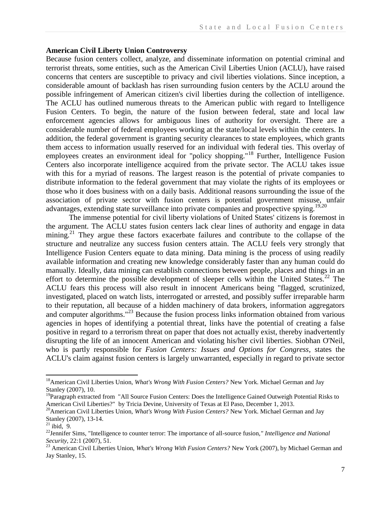### **American Civil Liberty Union Controversy**

Because fusion centers collect, analyze, and disseminate information on potential criminal and terrorist threats, some entities, such as the American Civil Liberties Union (ACLU), have raised concerns that centers are susceptible to privacy and civil liberties violations. Since inception, a considerable amount of backlash has risen surrounding fusion centers by the ACLU around the possible infringement of American citizen's civil liberties during the collection of intelligence. The ACLU has outlined numerous threats to the American public with regard to Intelligence Fusion Centers. To begin, the nature of the fusion between federal, state and local law enforcement agencies allows for ambiguous lines of authority for oversight. There are a considerable number of federal employees working at the state/local levels within the centers. In addition, the federal government is granting security clearances to state employees, which grants them access to information usually reserved for an individual with federal ties. This overlay of employees creates an environment ideal for "policy shopping."<sup>18</sup> Further, Intelligence Fusion Centers also incorporate intelligence acquired from the private sector. The ACLU takes issue with this for a myriad of reasons. The largest reason is the potential of private companies to distribute information to the federal government that may violate the rights of its employees or those who it does business with on a daily basis. Additional reasons surrounding the issue of the association of private sector with fusion centers is potential government misuse, unfair advantages, extending state surveillance into private companies and prospective spying.<sup>19,20</sup>

The immense potential for civil liberty violations of United States' citizens is foremost in the argument. The ACLU states fusion centers lack clear lines of authority and engage in data mining.<sup>21</sup> They argue these factors exacerbate failures and contribute to the collapse of the structure and neutralize any success fusion centers attain. The ACLU feels very strongly that Intelligence Fusion Centers equate to data mining. Data mining is the process of using readily available information and creating new knowledge considerably faster than any human could do manually. Ideally, data mining can establish connections between people, places and things in an effort to determine the possible development of sleeper cells within the United States.<sup>22</sup> The ACLU fears this process will also result in innocent Americans being "flagged, scrutinized, investigated, placed on watch lists, interrogated or arrested, and possibly suffer irreparable harm to their reputation, all because of a hidden machinery of data brokers, information aggregators and computer algorithms."<sup>23</sup> Because the fusion process links information obtained from various agencies in hopes of identifying a potential threat, links have the potential of creating a false positive in regard to a terrorism threat on paper that does not actually exist, thereby inadvertently disrupting the life of an innocent American and violating his/her civil liberties. Siobhan O'Neil, who is partly responsible for *Fusion Centers: Issues and Options for Congress*, states the ACLU's claim against fusion centers is largely unwarranted, especially in regard to private sector

<sup>&</sup>lt;sup>18</sup> American Civil Liberties Union, *What's Wrong With Fusion Centers?* New York. Michael German and Jay Stanley (2007), 10.

<sup>&</sup>lt;sup>19</sup>Paragraph extracted from "All Source Fusion Centers: Does the Intelligence Gained Outweigh Potential Risks to American Civil Liberties?" by Tricia Devine, University of Texas at El Paso, December 1, 2013.

<sup>&</sup>lt;sup>20</sup>American Civil Liberties Union, *What's Wrong With Fusion Centers?* New York. Michael German and Jay Stanley (2007), 13-14.

 $^{21}$  ibid, 9.

<sup>22</sup>Jennifer Sims, "Intelligence to counter terror: The importance of all-source fusion*," Intelligence and National Security*, 22:1 (2007), 51.

<sup>23</sup> American Civil Liberties Union, *What's Wrong With Fusion Centers?* New York (2007), by Michael German and Jay Stanley, 15.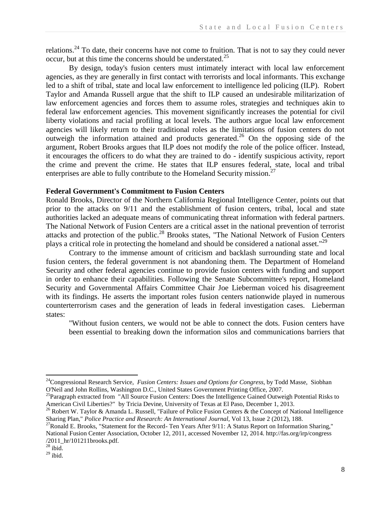relations.<sup>24</sup> To date, their concerns have not come to fruition. That is not to say they could never occur, but at this time the concerns should be understated.<sup>25</sup>

By design, today's fusion centers must intimately interact with local law enforcement agencies, as they are generally in first contact with terrorists and local informants. This exchange led to a shift of tribal, state and local law enforcement to intelligence led policing (ILP). Robert Taylor and Amanda Russell argue that the shift to ILP caused an undesirable militarization of law enforcement agencies and forces them to assume roles, strategies and techniques akin to federal law enforcement agencies. This movement significantly increases the potential for civil liberty violations and racial profiling at local levels. The authors argue local law enforcement agencies will likely return to their traditional roles as the limitations of fusion centers do not outweigh the information attained and products generated.<sup>26</sup> On the opposing side of the argument, Robert Brooks argues that ILP does not modify the role of the police officer. Instead, it encourages the officers to do what they are trained to do - identify suspicious activity, report the crime and prevent the crime. He states that ILP ensures federal, state, local and tribal enterprises are able to fully contribute to the Homeland Security mission.<sup>27</sup>

## **Federal Government's Commitment to Fusion Centers**

Ronald Brooks, Director of the Northern California Regional Intelligence Center, points out that prior to the attacks on 9/11 and the establishment of fusion centers, tribal, local and state authorities lacked an adequate means of communicating threat information with federal partners. The National Network of Fusion Centers are a critical asset in the national prevention of terrorist attacks and protection of the public.<sup>28</sup> Brooks states, "The National Network of Fusion Centers" plays a critical role in protecting the homeland and should be considered a national asset."<sup>29</sup>

Contrary to the immense amount of criticism and backlash surrounding state and local fusion centers, the federal government is not abandoning them. The Department of Homeland Security and other federal agencies continue to provide fusion centers with funding and support in order to enhance their capabilities. Following the Senate Subcommittee's report, Homeland Security and Governmental Affairs Committee Chair Joe Lieberman voiced his disagreement with its findings. He asserts the important roles fusion centers nationwide played in numerous counterterrorism cases and the generation of leads in federal investigation cases. Lieberman states:

"Without fusion centers, we would not be able to connect the dots. Fusion centers have been essential to breaking down the information silos and communications barriers that

<sup>&</sup>lt;sup>24</sup>Congressional Research Service, *Fusion Centers: Issues and Options for Congress*, by Todd Masse, Siobhan O'Neil and John Rollins, Washington D.C., United States Government Printing Office, 2007.

<sup>&</sup>lt;sup>25</sup>Paragraph extracted from "All Source Fusion Centers: Does the Intelligence Gained Outweigh Potential Risks to American Civil Liberties?" by Tricia Devine, University of Texas at El Paso, December 1, 2013.

<sup>&</sup>lt;sup>26</sup> Robert W. Taylor & Amanda L. Russell, "Failure of Police Fusion Centers & the Concept of National Intelligence Sharing Plan," *Police Practice and Research: An International Journal*, Vol 13, Issue 2 (2012), 188.

<sup>&</sup>lt;sup>27</sup>Ronald E. Brooks, "Statement for the Record- Ten Years After 9/11: A Status Report on Information Sharing," National Fusion Center Association, October 12, 2011, accessed November 12, 2014. http://fas.org/irp/congress /2011\_hr/101211brooks.pdf.

 $28$  ibid.

 $29$  ibid.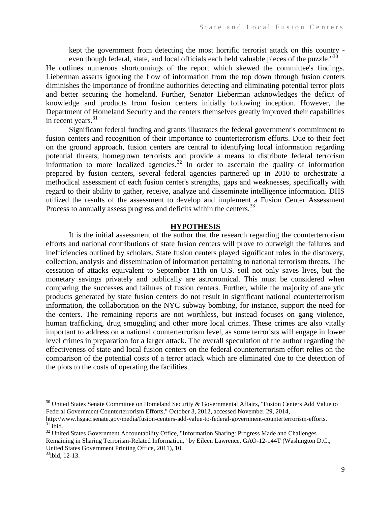kept the government from detecting the most horrific terrorist attack on this country even though federal, state, and local officials each held valuable pieces of the puzzle."<sup>30</sup>

He outlines numerous shortcomings of the report which skewed the committee's findings. Lieberman asserts ignoring the flow of information from the top down through fusion centers diminishes the importance of frontline authorities detecting and eliminating potential terror plots and better securing the homeland. Further, Senator Lieberman acknowledges the deficit of knowledge and products from fusion centers initially following inception. However, the Department of Homeland Security and the centers themselves greatly improved their capabilities in recent years. $31$ 

Significant federal funding and grants illustrates the federal government's commitment to fusion centers and recognition of their importance to counterterrorism efforts. Due to their feet on the ground approach, fusion centers are central to identifying local information regarding potential threats, homegrown terrorists and provide a means to distribute federal terrorism information to more localized agencies.<sup>32</sup> In order to ascertain the quality of information prepared by fusion centers, several federal agencies partnered up in 2010 to orchestrate a methodical assessment of each fusion center's strengths, gaps and weaknesses, specifically with regard to their ability to gather, receive, analyze and disseminate intelligence information. DHS utilized the results of the assessment to develop and implement a Fusion Center Assessment Process to annually assess progress and deficits within the centers.<sup>33</sup>

#### **HYPOTHESIS**

It is the initial assessment of the author that the research regarding the counterterrorism efforts and national contributions of state fusion centers will prove to outweigh the failures and inefficiencies outlined by scholars. State fusion centers played significant roles in the discovery, collection, analysis and dissemination of information pertaining to national terrorism threats. The cessation of attacks equivalent to September 11th on U.S. soil not only saves lives, but the monetary savings privately and publically are astronomical. This must be considered when comparing the successes and failures of fusion centers. Further, while the majority of analytic products generated by state fusion centers do not result in significant national counterterrorism information, the collaboration on the NYC subway bombing, for instance, support the need for the centers. The remaining reports are not worthless, but instead focuses on gang violence, human trafficking, drug smuggling and other more local crimes. These crimes are also vitally important to address on a national counterterrorism level, as some terrorists will engage in lower level crimes in preparation for a larger attack. The overall speculation of the author regarding the effectiveness of state and local fusion centers on the federal counterterrorism effort relies on the comparison of the potential costs of a terror attack which are eliminated due to the detection of the plots to the costs of operating the facilities.

 $30$  United States Senate Committee on Homeland Security & Governmental Affairs, "Fusion Centers Add Value to Federal Government Counterterrorism Efforts," October 3, 2012, accessed November 29, 2014,

http://www.hsgac.senate.gov/media/fusion-centers-add-value-to-federal-government-counterterrorism-efforts.  $31$  ibid.

<sup>&</sup>lt;sup>32</sup> United States Government Accountability Office, "Information Sharing: Progress Made and Challenges Remaining in Sharing Terrorism-Related Information," by Eileen Lawrence, GAO-12-144T (Washington D.C., United States Government Printing Office, 2011), 10.

 $33$ ibid, 12-13.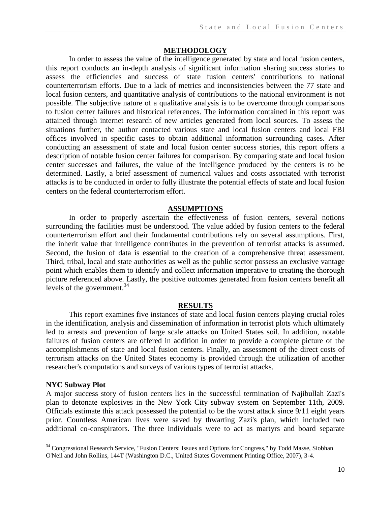### **METHODOLOGY**

In order to assess the value of the intelligence generated by state and local fusion centers, this report conducts an in-depth analysis of significant information sharing success stories to assess the efficiencies and success of state fusion centers' contributions to national counterterrorism efforts. Due to a lack of metrics and inconsistencies between the 77 state and local fusion centers, and quantitative analysis of contributions to the national environment is not possible. The subjective nature of a qualitative analysis is to be overcome through comparisons to fusion center failures and historical references. The information contained in this report was attained through internet research of new articles generated from local sources. To assess the situations further, the author contacted various state and local fusion centers and local FBI offices involved in specific cases to obtain additional information surrounding cases. After conducting an assessment of state and local fusion center success stories, this report offers a description of notable fusion center failures for comparison. By comparing state and local fusion center successes and failures, the value of the intelligence produced by the centers is to be determined. Lastly, a brief assessment of numerical values and costs associated with terrorist attacks is to be conducted in order to fully illustrate the potential effects of state and local fusion centers on the federal counterterrorism effort.

#### **ASSUMPTIONS**

In order to properly ascertain the effectiveness of fusion centers, several notions surrounding the facilities must be understood. The value added by fusion centers to the federal counterterrorism effort and their fundamental contributions rely on several assumptions. First, the inherit value that intelligence contributes in the prevention of terrorist attacks is assumed. Second, the fusion of data is essential to the creation of a comprehensive threat assessment. Third, tribal, local and state authorities as well as the public sector possess an exclusive vantage point which enables them to identify and collect information imperative to creating the thorough picture referenced above. Lastly, the positive outcomes generated from fusion centers benefit all levels of the government.<sup>34</sup>

### **RESULTS**

This report examines five instances of state and local fusion centers playing crucial roles in the identification, analysis and dissemination of information in terrorist plots which ultimately led to arrests and prevention of large scale attacks on United States soil. In addition, notable failures of fusion centers are offered in addition in order to provide a complete picture of the accomplishments of state and local fusion centers. Finally, an assessment of the direct costs of terrorism attacks on the United States economy is provided through the utilization of another researcher's computations and surveys of various types of terrorist attacks.

#### **NYC Subway Plot**

 $\overline{\phantom{a}}$ 

A major success story of fusion centers lies in the successful termination of Najibullah Zazi's plan to detonate explosives in the New York City subway system on September 11th, 2009. Officials estimate this attack possessed the potential to be the worst attack since 9/11 eight years prior. Countless American lives were saved by thwarting Zazi's plan, which included two additional co-conspirators. The three individuals were to act as martyrs and board separate

<sup>&</sup>lt;sup>34</sup> Congressional Research Service, "Fusion Centers: Issues and Options for Congress," by Todd Masse, Siobhan O'Neil and John Rollins, 144T (Washington D.C., United States Government Printing Office, 2007), 3-4.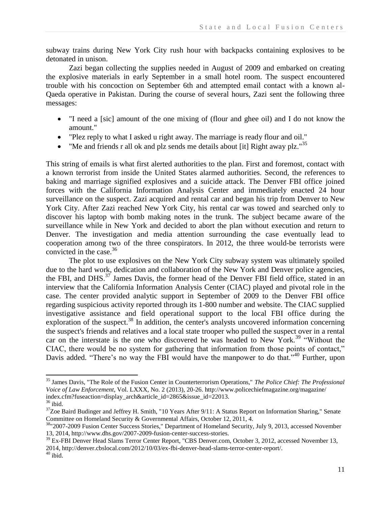subway trains during New York City rush hour with backpacks containing explosives to be detonated in unison.

Zazi began collecting the supplies needed in August of 2009 and embarked on creating the explosive materials in early September in a small hotel room. The suspect encountered trouble with his concoction on September 6th and attempted email contact with a known al-Qaeda operative in Pakistan. During the course of several hours, Zazi sent the following three messages:

- "I need a [sic] amount of the one mixing of (flour and ghee oil) and I do not know the amount."
- "Plez reply to what I asked u right away. The marriage is ready flour and oil."
- "Me and friends r all ok and plz sends me details about [it] Right away plz." $35$

This string of emails is what first alerted authorities to the plan. First and foremost, contact with a known terrorist from inside the United States alarmed authorities. Second, the references to baking and marriage signified explosives and a suicide attack. The Denver FBI office joined forces with the California Information Analysis Center and immediately enacted 24 hour surveillance on the suspect. Zazi acquired and rental car and began his trip from Denver to New York City. After Zazi reached New York City, his rental car was towed and searched only to discover his laptop with bomb making notes in the trunk. The subject became aware of the surveillance while in New York and decided to abort the plan without execution and return to Denver. The investigation and media attention surrounding the case eventually lead to cooperation among two of the three conspirators. In 2012, the three would-be terrorists were convicted in the case. $36$ 

The plot to use explosives on the New York City subway system was ultimately spoiled due to the hard work, dedication and collaboration of the New York and Denver police agencies, the FBI, and DHS.<sup>37</sup> James Davis, the former head of the Denver FBI field office, stated in an interview that the California Information Analysis Center (CIAC) played and pivotal role in the case. The center provided analytic support in September of 2009 to the Denver FBI office regarding suspicious activity reported through its 1-800 number and website. The CIAC supplied investigative assistance and field operational support to the local FBI office during the exploration of the suspect.<sup>38</sup> In addition, the center's analysts uncovered information concerning the suspect's friends and relatives and a local state trooper who pulled the suspect over in a rental car on the interstate is the one who discovered he was headed to New York.<sup>39</sup> "Without the CIAC, there would be no system for gathering that information from those points of contact," Davis added. "There's no way the FBI would have the manpower to do that."<sup>40</sup> Further, upon

<sup>35</sup> James Davis, "The Role of the Fusion Center in Counterterrorism Operations," *The Police Chief: The Professional Voice of Law Enforcement*, Vol. LXXX, No. 2 (2013), 20-26. http://www.policechiefmagazine.org/magazine/ index.cfm?fuseaction=display\_arch&article\_id=2865&issue\_id=22013.

 $36$  ibid.

<sup>&</sup>lt;sup>37</sup>Zoe Baird Budinger and Jeffrey H. Smith, "10 Years After 9/11: A Status Report on Information Sharing," Senate Committee on Homeland Security & Governmental Affairs, October 12, 2011, 4.

<sup>&</sup>lt;sup>38</sup>"2007-2009 Fusion Center Success Stories," Department of Homeland Security, July 9, 2013, accessed November 13, 2014, http://www.dhs.gov/2007-2009-fusion-center-success-stories.

<sup>&</sup>lt;sup>39</sup> Ex-FBI Denver Head Slams Terror Center Report, "CBS Denver.com, October 3, 2012, accessed November 13, 2014, http://denver.cbslocal.com/2012/10/03/ex-fbi-denver-head-slams-terror-center-report/.  $40$  ibid.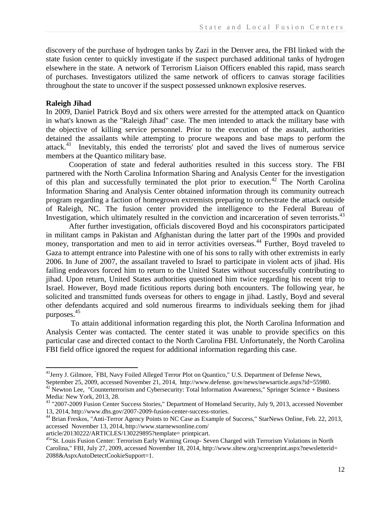discovery of the purchase of hydrogen tanks by Zazi in the Denver area, the FBI linked with the state fusion center to quickly investigate if the suspect purchased additional tanks of hydrogen elsewhere in the state. A network of Terrorism Liaison Officers enabled this rapid, mass search of purchases. Investigators utilized the same network of officers to canvas storage facilities throughout the state to uncover if the suspect possessed unknown explosive reserves.

## **Raleigh Jihad**

l

In 2009, Daniel Patrick Boyd and six others were arrested for the attempted attack on Quantico in what's known as the "Raleigh Jihad" case. The men intended to attack the military base with the objective of killing service personnel. Prior to the execution of the assault, authorities detained the assailants while attempting to procure weapons and base maps to perform the attack.<sup>41</sup> Inevitably, this ended the terrorists' plot and saved the lives of numerous service members at the Quantico military base.

Cooperation of state and federal authorities resulted in this success story. The FBI partnered with the North Carolina Information Sharing and Analysis Center for the investigation of this plan and successfully terminated the plot prior to execution.<sup>42</sup> The North Carolina Information Sharing and Analysis Center obtained information through its community outreach program regarding a faction of homegrown extremists preparing to orchestrate the attack outside of Raleigh, NC. The fusion center provided the intelligence to the Federal Bureau of Investigation, which ultimately resulted in the conviction and incarceration of seven terrorists.<sup>43</sup>

After further investigation, officials discovered Boyd and his coconspirators participated in militant camps in Pakistan and Afghanistan during the latter part of the 1990s and provided money, transportation and men to aid in terror activities overseas.<sup>44</sup> Further, Boyd traveled to Gaza to attempt entrance into Palestine with one of his sons to rally with other extremists in early 2006. In June of 2007, the assailant traveled to Israel to participate in violent acts of jihad. His failing endeavors forced him to return to the United States without successfully contributing to jihad. Upon return, United States authorities questioned him twice regarding his recent trip to Israel. However, Boyd made fictitious reports during both encounters. The following year, he solicited and transmitted funds overseas for others to engage in jihad. Lastly, Boyd and several other defendants acquired and sold numerous firearms to individuals seeking them for jihad purposes.<sup>45</sup>

To attain additional information regarding this plot, the North Carolina Information and Analysis Center was contacted. The center stated it was unable to provide specifics on this particular case and directed contact to the North Carolina FBI. Unfortunately, the North Carolina FBI field office ignored the request for additional information regarding this case.

<sup>&</sup>lt;sup>41</sup>Jerry J. Gilmore, <sup>"</sup>FBI, Navy Foiled Alleged Terror Plot on Quantico," U.S. Department of Defense News, September 25, 2009, accessed November 21, 2014, http://www.defense. gov/news/newsarticle.aspx?id=55980.

 $^{42}$  Newton Lee, "Counterterrorism and Cybersecurity: Total Information Awareness," Springer Science + Business Media: New York, 2013, 28.

<sup>43</sup> "2007-2009 Fusion Center Success Stories," Department of Homeland Security, July 9, 2013, accessed November 13, 2014, http://www.dhs.gov/2007-2009-fusion-center-success-stories.

<sup>&</sup>lt;sup>44</sup> Brian Freskos, "Anti-Terror Agency Points to NC Case as Example of Success," StarNews Online, Feb. 22, 2013, accessed November 13, 2014, http://www.starnewsonline.com/

article/20130222/ARTICLES/130229895?template= printpicart.

<sup>&</sup>lt;sup>45</sup>"St. Louis Fusion Center: Terrorism Early Warning Group- Seven Charged with Terrorism Violations in North Carolina," FBI, July 27, 2009, accessed November 18, 2014, http://www.sltew.org/screenprint.aspx?newsletterid= 2088&AspxAutoDetectCookieSupport=1.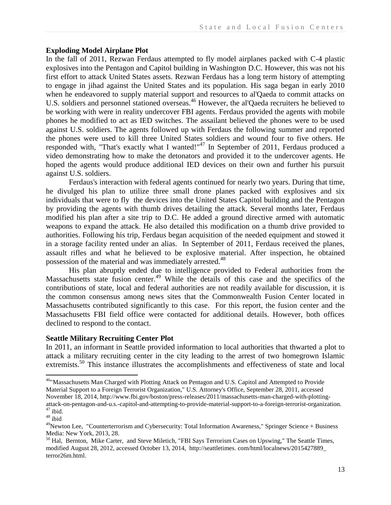## **Exploding Model Airplane Plot**

In the fall of 2011, Rezwan Ferdaus attempted to fly model airplanes packed with C-4 plastic explosives into the Pentagon and Capitol building in Washington D.C. However, this was not his first effort to attack United States assets. Rezwan Ferdaus has a long term history of attempting to engage in jihad against the United States and its population. His saga began in early 2010 when he endeavored to supply material support and resources to al'Qaeda to commit attacks on U.S. soldiers and personnel stationed overseas.<sup>46</sup> However, the al'Qaeda recruiters he believed to be working with were in reality undercover FBI agents. Ferdaus provided the agents with mobile phones he modified to act as IED switches. The assailant believed the phones were to be used against U.S. soldiers. The agents followed up with Ferdaus the following summer and reported the phones were used to kill three United States soldiers and wound four to five others. He responded with, "That's exactly what I wanted!"<sup>47</sup> In September of 2011, Ferdaus produced a video demonstrating how to make the detonators and provided it to the undercover agents. He hoped the agents would produce additional IED devices on their own and further his pursuit against U.S. soldiers.

Ferdaus's interaction with federal agents continued for nearly two years. During that time, he divulged his plan to utilize three small drone planes packed with explosives and six individuals that were to fly the devices into the United States Capitol building and the Pentagon by providing the agents with thumb drives detailing the attack. Several months later, Ferdaus modified his plan after a site trip to D.C. He added a ground directive armed with automatic weapons to expand the attack. He also detailed this modification on a thumb drive provided to authorities. Following his trip, Ferdaus began acquisition of the needed equipment and stowed it in a storage facility rented under an alias. In September of 2011, Ferdaus received the planes, assault rifles and what he believed to be explosive material. After inspection, he obtained possession of the material and was immediately arrested.<sup>48</sup>

His plan abruptly ended due to intelligence provided to Federal authorities from the Massachusetts state fusion center.<sup>49</sup> While the details of this case and the specifics of the contributions of state, local and federal authorities are not readily available for discussion, it is the common consensus among news sites that the Commonwealth Fusion Center located in Massachusetts contributed significantly to this case. For this report, the fusion center and the Massachusetts FBI field office were contacted for additional details. However, both offices declined to respond to the contact.

## **Seattle Military Recruiting Center Plot**

In 2011, an informant in Seattle provided information to local authorities that thwarted a plot to attack a military recruiting center in the city leading to the arrest of two homegrown Islamic extremists.<sup>50</sup> This instance illustrates the accomplishments and effectiveness of state and local

<sup>&</sup>lt;sup>46</sup>"Massachusetts Man Charged with Plotting Attack on Pentagon and U.S. Capitol and Attempted to Provide Material Support to a Foreign Terrorist Organization," U.S. Attorney's Office, September 28, 2011, accessed November 18, 2014, http://www.fbi.gov/boston/press-releases/2011/massachusetts-man-charged-with-plottingattack-on-pentagon-and-u.s.-capitol-and-attempting-to-provide-material-support-to-a-foreign-terrorist-organization.  $47$  ibid.

 $^{\rm 48}$ ibid

<sup>&</sup>lt;sup>49</sup>Newton Lee, "Counterterrorism and Cybersecurity: Total Information Awareness," Springer Science + Business Media: New York, 2013, 28.

<sup>&</sup>lt;sup>50</sup> Hal, Bernton, Mike Carter, and Steve Miletich, "FBI Says Terrorism Cases on Upswing," The Seattle Times, modified August 28, 2012, accessed October 13, 2014, http://seattletimes. com/html/localnews/2015427889\_ terror26m.html.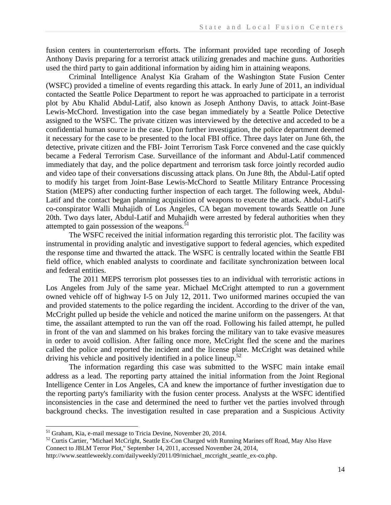fusion centers in counterterrorism efforts. The informant provided tape recording of Joseph Anthony Davis preparing for a terrorist attack utilizing grenades and machine guns. Authorities used the third party to gain additional information by aiding him in attaining weapons.

Criminal Intelligence Analyst Kia Graham of the Washington State Fusion Center (WSFC) provided a timeline of events regarding this attack. In early June of 2011, an individual contacted the Seattle Police Department to report he was approached to participate in a terrorist plot by Abu Khalid Abdul-Latif, also known as Joseph Anthony Davis, to attack Joint-Base Lewis-McChord. Investigation into the case began immediately by a Seattle Police Detective assigned to the WSFC. The private citizen was interviewed by the detective and acceded to be a confidential human source in the case. Upon further investigation, the police department deemed it necessary for the case to be presented to the local FBI office. Three days later on June 6th, the detective, private citizen and the FBI- Joint Terrorism Task Force convened and the case quickly became a Federal Terrorism Case. Surveillance of the informant and Abdul-Latif commenced immediately that day, and the police department and terrorism task force jointly recorded audio and video tape of their conversations discussing attack plans. On June 8th, the Abdul-Latif opted to modify his target from Joint-Base Lewis-McChord to Seattle Military Entrance Processing Station (MEPS) after conducting further inspection of each target. The following week, Abdul-Latif and the contact began planning acquisition of weapons to execute the attack. Abdul-Latif's co-conspirator Walli Muhajidh of Los Angeles, CA began movement towards Seattle on June 20th. Two days later, Abdul-Latif and Muhajidh were arrested by federal authorities when they attempted to gain possession of the weapons. $51$ 

The WSFC received the initial information regarding this terroristic plot. The facility was instrumental in providing analytic and investigative support to federal agencies, which expedited the response time and thwarted the attack. The WSFC is centrally located within the Seattle FBI field office, which enabled analysts to coordinate and facilitate synchronization between local and federal entities.

The 2011 MEPS terrorism plot possesses ties to an individual with terroristic actions in Los Angeles from July of the same year. Michael McCright attempted to run a government owned vehicle off of highway I-5 on July 12, 2011. Two uniformed marines occupied the van and provided statements to the police regarding the incident. According to the driver of the van, McCright pulled up beside the vehicle and noticed the marine uniform on the passengers. At that time, the assailant attempted to run the van off the road. Following his failed attempt, he pulled in front of the van and slammed on his brakes forcing the military van to take evasive measures in order to avoid collision. After failing once more, McCright fled the scene and the marines called the police and reported the incident and the license plate. McCright was detained while driving his vehicle and positively identified in a police lineup.<sup>52</sup>

The information regarding this case was submitted to the WSFC main intake email address as a lead. The reporting party attained the initial information from the Joint Regional Intelligence Center in Los Angeles, CA and knew the importance of further investigation due to the reporting party's familiarity with the fusion center process. Analysts at the WSFC identified inconsistencies in the case and determined the need to further vet the parties involved through background checks. The investigation resulted in case preparation and a Suspicious Activity

<sup>51</sup> Graham, Kia, e-mail message to Tricia Devine, November 20, 2014.

<sup>&</sup>lt;sup>52</sup> Curtis Cartier, "Michael McCright, Seattle Ex-Con Charged with Running Marines off Road, May Also Have Connect to JBLM Terror Plot," September 14, 2011, accessed November 24, 2014,

http://www.seattleweekly.com/dailyweekly/2011/09/michael\_mccright\_seattle\_ex-co.php.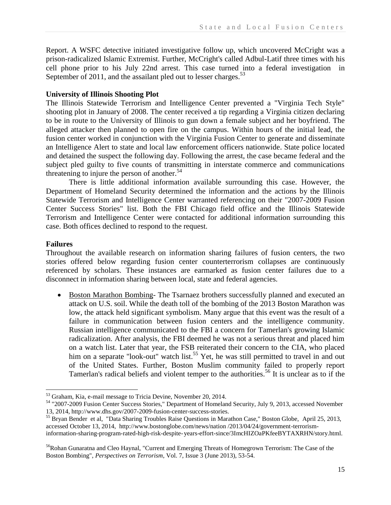Report. A WSFC detective initiated investigative follow up, which uncovered McCright was a prison-radicalized Islamic Extremist. Further, McCright's called Adbul-Latif three times with his cell phone prior to his July 22nd arrest. This case turned into a federal investigation in September of 2011, and the assailant pled out to lesser charges.<sup>53</sup>

# **University of Illinois Shooting Plot**

The Illinois Statewide Terrorism and Intelligence Center prevented a "Virginia Tech Style" shooting plot in January of 2008. The center received a tip regarding a Virginia citizen declaring to be in route to the University of Illinois to gun down a female subject and her boyfriend. The alleged attacker then planned to open fire on the campus. Within hours of the initial lead, the fusion center worked in conjunction with the Virginia Fusion Center to generate and disseminate an Intelligence Alert to state and local law enforcement officers nationwide. State police located and detained the suspect the following day. Following the arrest, the case became federal and the subject pled guilty to five counts of transmitting in interstate commerce and communications threatening to injure the person of another. 54

There is little additional information available surrounding this case. However, the Department of Homeland Security determined the information and the actions by the Illinois Statewide Terrorism and Intelligence Center warranted referencing on their "2007-2009 Fusion Center Success Stories" list. Both the FBI Chicago field office and the Illinois Statewide Terrorism and Intelligence Center were contacted for additional information surrounding this case. Both offices declined to respond to the request.

# **Failures**

Throughout the available research on information sharing failures of fusion centers, the two stories offered below regarding fusion center counterterrorism collapses are continuously referenced by scholars. These instances are earmarked as fusion center failures due to a disconnect in information sharing between local, state and federal agencies.

 Boston Marathon Bombing- The Tsarnaez brothers successfully planned and executed an attack on U.S. soil. While the death toll of the bombing of the 2013 Boston Marathon was low, the attack held significant symbolism. Many argue that this event was the result of a failure in communication between fusion centers and the intelligence community. Russian intelligence communicated to the FBI a concern for Tamerlan's growing Islamic radicalization. After analysis, the FBI deemed he was not a serious threat and placed him on a watch list. Later that year, the FSB reiterated their concern to the CIA, who placed him on a separate "look-out" watch list.<sup>55</sup> Yet, he was still permitted to travel in and out of the United States. Further, Boston Muslim community failed to properly report Tamerlan's radical beliefs and violent temper to the authorities.<sup>56</sup> It is unclear as to if the

 $\overline{\phantom{a}}$ <sup>53</sup> Graham, Kia, e-mail message to Tricia Devine, November 20, 2014.

<sup>54</sup> "2007-2009 Fusion Center Success Stories," Department of Homeland Security, July 9, 2013, accessed November 13, 2014, http://www.dhs.gov/2007-2009-fusion-center-success-stories.

<sup>55</sup> Bryan Bender et al, "Data Sharing Troubles Raise Questions in Marathon Case," Boston Globe, April 25, 2013, accessed October 13, 2014, http://www.bostonglobe.com/news/nation /2013/04/24/government-terrorisminformation-sharing-program-rated-high-risk-despite-years-effort-since/3ImcHIZOaPKfeeBYTAXRHN/story.html.

<sup>&</sup>lt;sup>56</sup>Rohan Gunaratna and Cleo Haynal, "Current and Emerging Threats of Homegrown Terrorism: The Case of the Boston Bombing", *Perspectives on Terrorism*, Vol. 7, Issue 3 (June 2013), 53-54.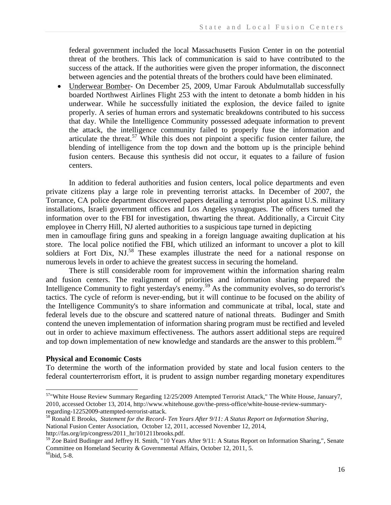federal government included the local Massachusetts Fusion Center in on the potential threat of the brothers. This lack of communication is said to have contributed to the success of the attack. If the authorities were given the proper information, the disconnect between agencies and the potential threats of the brothers could have been eliminated.

 Underwear Bomber- On December 25, 2009, Umar Farouk Abdulmutallab successfully boarded Northwest Airlines Flight 253 with the intent to detonate a bomb hidden in his underwear. While he successfully initiated the explosion, the device failed to ignite properly. A series of human errors and systematic breakdowns contributed to his success that day. While the Intelligence Community possessed adequate information to prevent the attack, the intelligence community failed to properly fuse the information and articulate the threat.<sup>57</sup> While this does not pinpoint a specific fusion center failure, the blending of intelligence from the top down and the bottom up is the principle behind fusion centers. Because this synthesis did not occur, it equates to a failure of fusion centers.

In addition to federal authorities and fusion centers, local police departments and even private citizens play a large role in preventing terrorist attacks. In December of 2007, the Torrance, CA police department discovered papers detailing a terrorist plot against U.S. military installations, Israeli government offices and Los Angeles synagogues. The officers turned the information over to the FBI for investigation, thwarting the threat. Additionally, a Circuit City employee in Cherry Hill, NJ alerted authorities to a suspicious tape turned in depicting

men in camouflage firing guns and speaking in a foreign language awaiting duplication at his store. The local police notified the FBI, which utilized an informant to uncover a plot to kill soldiers at Fort Dix,  $NJ^{58}$  These examples illustrate the need for a national response on numerous levels in order to achieve the greatest success in securing the homeland.

There is still considerable room for improvement within the information sharing realm and fusion centers. The realignment of priorities and information sharing prepared the Intelligence Community to fight yesterday's enemy.<sup>59</sup> As the community evolves, so do terrorist's tactics. The cycle of reform is never-ending, but it will continue to be focused on the ability of the Intelligence Community's to share information and communicate at tribal, local, state and federal levels due to the obscure and scattered nature of national threats. Budinger and Smith contend the uneven implementation of information sharing program must be rectified and leveled out in order to achieve maximum effectiveness. The authors assert additional steps are required and top down implementation of new knowledge and standards are the answer to this problem.<sup>60</sup>

### **Physical and Economic Costs**

 $\overline{\phantom{a}}$ 

To determine the worth of the information provided by state and local fusion centers to the federal counterterrorism effort, it is prudent to assign number regarding monetary expenditures

http://fas.org/irp/congress/2011\_hr/101211brooks.pdf.

<sup>&</sup>lt;sup>57</sup>"White House Review Summary Regarding 12/25/2009 Attempted Terrorist Attack," The White House, January7, 2010, accessed October 13, 2014, http://www.whitehouse.gov/the-press-office/white-house-review-summaryregarding-12252009-attempted-terrorist-attack.

<sup>58</sup> Ronald E Brooks, *Statement for the Record- Ten Years After 9/11: A Status Report on Information Sharing*, National Fusion Center Association, October 12, 2011, accessed November 12, 2014,

<sup>&</sup>lt;sup>59</sup> Zoe Baird Budinger and Jeffrey H. Smith, "10 Years After 9/11: A Status Report on Information Sharing,", Senate Committee on Homeland Security & Governmental Affairs, October 12, 2011, 5.  $^{60}$ ibid, 5-8.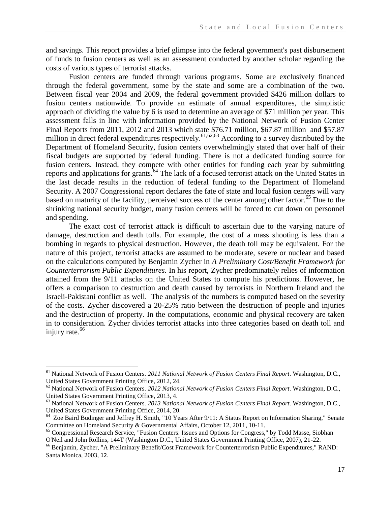and savings. This report provides a brief glimpse into the federal government's past disbursement of funds to fusion centers as well as an assessment conducted by another scholar regarding the costs of various types of terrorist attacks.

Fusion centers are funded through various programs. Some are exclusively financed through the federal government, some by the state and some are a combination of the two. Between fiscal year 2004 and 2009, the federal government provided \$426 million dollars to fusion centers nationwide. To provide an estimate of annual expenditures, the simplistic approach of dividing the value by 6 is used to determine an average of \$71 million per year. This assessment falls in line with information provided by the National Network of Fusion Center Final Reports from 2011, 2012 and 2013 which state \$76.71 million, \$67.87 million and \$57.87 million in direct federal expenditures respectively.<sup>61,62,63</sup> According to a survey distributed by the Department of Homeland Security, fusion centers overwhelmingly stated that over half of their fiscal budgets are supported by federal funding. There is not a dedicated funding source for fusion centers. Instead, they compete with other entities for funding each year by submitting reports and applications for grants.<sup>64</sup> The lack of a focused terrorist attack on the United States in the last decade results in the reduction of federal funding to the Department of Homeland Security. A 2007 Congressional report declares the fate of state and local fusion centers will vary based on maturity of the facility, perceived success of the center among other factor.<sup>65</sup> Due to the shrinking national security budget, many fusion centers will be forced to cut down on personnel and spending.

The exact cost of terrorist attack is difficult to ascertain due to the varying nature of damage, destruction and death tolls. For example, the cost of a mass shooting is less than a bombing in regards to physical destruction. However, the death toll may be equivalent. For the nature of this project, terrorist attacks are assumed to be moderate, severe or nuclear and based on the calculations computed by Benjamin Zycher in *A Preliminary Cost/Benefit Framework for Counterterrorism Public Expenditures*. In his report, Zycher predominately relies of information attained from the 9/11 attacks on the United States to compute his predictions. However, he offers a comparison to destruction and death caused by terrorists in Northern Ireland and the Israeli-Pakistani conflict as well. The analysis of the numbers is computed based on the severity of the costs. Zycher discovered a 20-25% ratio between the destruction of people and injuries and the destruction of property. In the computations, economic and physical recovery are taken in to consideration. Zycher divides terrorist attacks into three categories based on death toll and injury rate.<sup>66</sup>

<sup>61</sup> National Network of Fusion Centers. *2011 National Network of Fusion Centers Final Report*. Washington, D.C., United States Government Printing Office, 2012, 24.

<sup>62</sup> National Network of Fusion Centers. *2012 National Network of Fusion Centers Final Report*. Washington, D.C., United States Government Printing Office, 2013, 4.

<sup>63</sup> National Network of Fusion Centers. *2013 National Network of Fusion Centers Final Report*. Washington, D.C., United States Government Printing Office, 2014, 20.

<sup>&</sup>lt;sup>64</sup> Zoe Baird Budinger and Jeffrey H. Smith, "10 Years After 9/11: A Status Report on Information Sharing," Senate Committee on Homeland Security & Governmental Affairs, October 12, 2011, 10-11.

<sup>&</sup>lt;sup>65</sup> Congressional Research Service, "Fusion Centers: Issues and Options for Congress," by Todd Masse, Siobhan O'Neil and John Rollins, 144T (Washington D.C., United States Government Printing Office, 2007), 21-22.

<sup>&</sup>lt;sup>66</sup> Benjamin, Zycher, "A Preliminary Benefit/Cost Framework for Counterterrorism Public Expenditures," RAND: Santa Monica, 2003, 12.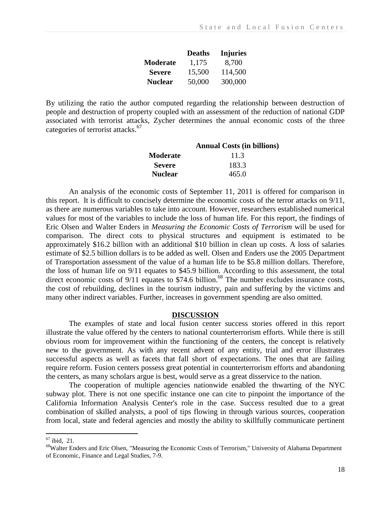|                 | <b>Deaths</b> | <b>Injuries</b> |
|-----------------|---------------|-----------------|
| <b>Moderate</b> | 1,175         | 8,700           |
| <b>Severe</b>   | 15,500        | 114,500         |
| <b>Nuclear</b>  | 50,000        | 300,000         |

By utilizing the ratio the author computed regarding the relationship between destruction of people and destruction of property coupled with an assessment of the reduction of national GDP associated with terrorist attacks, Zycher determines the annual economic costs of the three categories of terrorist attacks.<sup>67</sup>

|                | <b>Annual Costs (in billions)</b> |
|----------------|-----------------------------------|
| Moderate       | 11.3                              |
| <b>Severe</b>  | 183.3                             |
| <b>Nuclear</b> | 465.0                             |

An analysis of the economic costs of September 11, 2011 is offered for comparison in this report. It is difficult to concisely determine the economic costs of the terror attacks on 9/11, as there are numerous variables to take into account. However, researchers established numerical values for most of the variables to include the loss of human life. For this report, the findings of Eric Olsen and Walter Enders in *Measuring the Economic Costs of Terrorism* will be used for comparison. The direct cots to physical structures and equipment is estimated to be approximately \$16.2 billion with an additional \$10 billion in clean up costs. A loss of salaries estimate of \$2.5 billion dollars is to be added as well. Olsen and Enders use the 2005 Department of Transportation assessment of the value of a human life to be \$5.8 million dollars. Therefore, the loss of human life on 9/11 equates to \$45.9 billion. According to this assessment, the total direct economic costs of  $9/11$  equates to \$74.6 billion.<sup>68</sup> The number excludes insurance costs, the cost of rebuilding, declines in the tourism industry, pain and suffering by the victims and many other indirect variables. Further, increases in government spending are also omitted.

#### **DISCUSSION**

The examples of state and local fusion center success stories offered in this report illustrate the value offered by the centers to national counterterrorism efforts. While there is still obvious room for improvement within the functioning of the centers, the concept is relatively new to the government. As with any recent advent of any entity, trial and error illustrates successful aspects as well as facets that fall short of expectations. The ones that are failing require reform. Fusion centers possess great potential in counterterrorism efforts and abandoning the centers, as many scholars argue is best, would serve as a great disservice to the nation.

The cooperation of multiple agencies nationwide enabled the thwarting of the NYC subway plot. There is not one specific instance one can cite to pinpoint the importance of the California Information Analysis Center's role in the case. Success resulted due to a great combination of skilled analysts, a pool of tips flowing in through various sources, cooperation from local, state and federal agencies and mostly the ability to skillfully communicate pertinent

 $67$  ibid, 21.

<sup>68</sup>Walter Enders and Eric Olsen, "Measuring the Economic Costs of Terrorism," University of Alabama Department of Economic, Finance and Legal Studies, 7-9.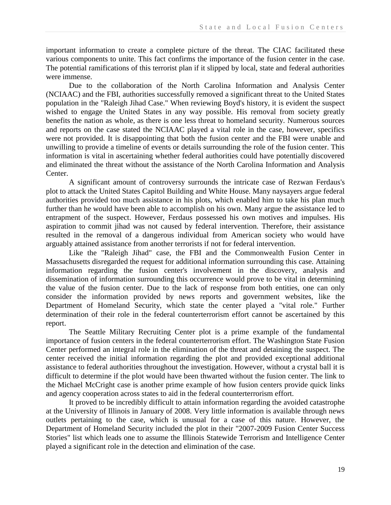important information to create a complete picture of the threat. The CIAC facilitated these various components to unite. This fact confirms the importance of the fusion center in the case. The potential ramifications of this terrorist plan if it slipped by local, state and federal authorities were immense.

Due to the collaboration of the North Carolina Information and Analysis Center (NCIAAC) and the FBI, authorities successfully removed a significant threat to the United States population in the "Raleigh Jihad Case." When reviewing Boyd's history, it is evident the suspect wished to engage the United States in any way possible. His removal from society greatly benefits the nation as whole, as there is one less threat to homeland security. Numerous sources and reports on the case stated the NCIAAC played a vital role in the case, however, specifics were not provided. It is disappointing that both the fusion center and the FBI were unable and unwilling to provide a timeline of events or details surrounding the role of the fusion center. This information is vital in ascertaining whether federal authorities could have potentially discovered and eliminated the threat without the assistance of the North Carolina Information and Analysis Center.

A significant amount of controversy surrounds the intricate case of Rezwan Ferdaus's plot to attack the United States Capitol Building and White House. Many naysayers argue federal authorities provided too much assistance in his plots, which enabled him to take his plan much further than he would have been able to accomplish on his own. Many argue the assistance led to entrapment of the suspect. However, Ferdaus possessed his own motives and impulses. His aspiration to commit jihad was not caused by federal intervention. Therefore, their assistance resulted in the removal of a dangerous individual from American society who would have arguably attained assistance from another terrorists if not for federal intervention.

Like the "Raleigh Jihad" case, the FBI and the Commonwealth Fusion Center in Massachusetts disregarded the request for additional information surrounding this case. Attaining information regarding the fusion center's involvement in the discovery, analysis and dissemination of information surrounding this occurrence would prove to be vital in determining the value of the fusion center. Due to the lack of response from both entities, one can only consider the information provided by news reports and government websites, like the Department of Homeland Security, which state the center played a "vital role." Further determination of their role in the federal counterterrorism effort cannot be ascertained by this report.

The Seattle Military Recruiting Center plot is a prime example of the fundamental importance of fusion centers in the federal counterterrorism effort. The Washington State Fusion Center performed an integral role in the elimination of the threat and detaining the suspect. The center received the initial information regarding the plot and provided exceptional additional assistance to federal authorities throughout the investigation. However, without a crystal ball it is difficult to determine if the plot would have been thwarted without the fusion center. The link to the Michael McCright case is another prime example of how fusion centers provide quick links and agency cooperation across states to aid in the federal counterterrorism effort.

It proved to be incredibly difficult to attain information regarding the avoided catastrophe at the University of Illinois in January of 2008. Very little information is available through news outlets pertaining to the case, which is unusual for a case of this nature. However, the Department of Homeland Security included the plot in their "2007-2009 Fusion Center Success Stories" list which leads one to assume the Illinois Statewide Terrorism and Intelligence Center played a significant role in the detection and elimination of the case.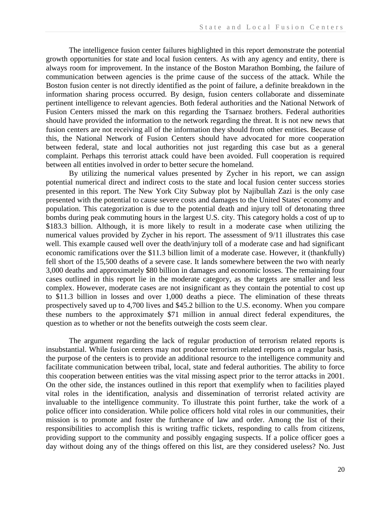The intelligence fusion center failures highlighted in this report demonstrate the potential growth opportunities for state and local fusion centers. As with any agency and entity, there is always room for improvement. In the instance of the Boston Marathon Bombing, the failure of communication between agencies is the prime cause of the success of the attack. While the Boston fusion center is not directly identified as the point of failure, a definite breakdown in the information sharing process occurred. By design, fusion centers collaborate and disseminate pertinent intelligence to relevant agencies. Both federal authorities and the National Network of Fusion Centers missed the mark on this regarding the Tsarnaez brothers. Federal authorities should have provided the information to the network regarding the threat. It is not new news that fusion centers are not receiving all of the information they should from other entities. Because of this, the National Network of Fusion Centers should have advocated for more cooperation between federal, state and local authorities not just regarding this case but as a general complaint. Perhaps this terrorist attack could have been avoided. Full cooperation is required between all entities involved in order to better secure the homeland.

By utilizing the numerical values presented by Zycher in his report, we can assign potential numerical direct and indirect costs to the state and local fusion center success stories presented in this report. The New York City Subway plot by Najibullah Zazi is the only case presented with the potential to cause severe costs and damages to the United States' economy and population. This categorization is due to the potential death and injury toll of detonating three bombs during peak commuting hours in the largest U.S. city. This category holds a cost of up to \$183.3 billion. Although, it is more likely to result in a moderate case when utilizing the numerical values provided by Zycher in his report. The assessment of 9/11 illustrates this case well. This example caused well over the death/injury toll of a moderate case and had significant economic ramifications over the \$11.3 billion limit of a moderate case. However, it (thankfully) fell short of the 15,500 deaths of a severe case. It lands somewhere between the two with nearly 3,000 deaths and approximately \$80 billion in damages and economic losses. The remaining four cases outlined in this report lie in the moderate category, as the targets are smaller and less complex. However, moderate cases are not insignificant as they contain the potential to cost up to \$11.3 billion in losses and over 1,000 deaths a piece. The elimination of these threats prospectively saved up to 4,700 lives and \$45.2 billion to the U.S. economy. When you compare these numbers to the approximately \$71 million in annual direct federal expenditures, the question as to whether or not the benefits outweigh the costs seem clear.

The argument regarding the lack of regular production of terrorism related reports is insubstantial. While fusion centers may not produce terrorism related reports on a regular basis, the purpose of the centers is to provide an additional resource to the intelligence community and facilitate communication between tribal, local, state and federal authorities. The ability to force this cooperation between entities was the vital missing aspect prior to the terror attacks in 2001. On the other side, the instances outlined in this report that exemplify when to facilities played vital roles in the identification, analysis and dissemination of terrorist related activity are invaluable to the intelligence community. To illustrate this point further, take the work of a police officer into consideration. While police officers hold vital roles in our communities, their mission is to promote and foster the furtherance of law and order. Among the list of their responsibilities to accomplish this is writing traffic tickets, responding to calls from citizens, providing support to the community and possibly engaging suspects. If a police officer goes a day without doing any of the things offered on this list, are they considered useless? No. Just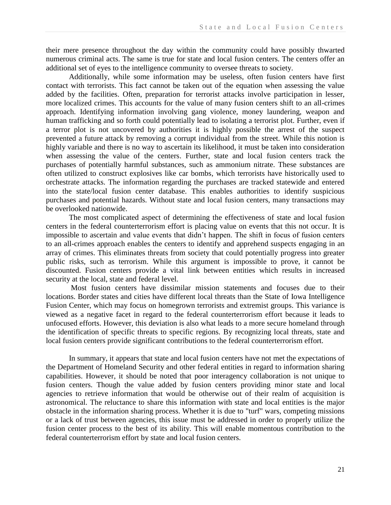their mere presence throughout the day within the community could have possibly thwarted numerous criminal acts. The same is true for state and local fusion centers. The centers offer an additional set of eyes to the intelligence community to oversee threats to society.

Additionally, while some information may be useless, often fusion centers have first contact with terrorists. This fact cannot be taken out of the equation when assessing the value added by the facilities. Often, preparation for terrorist attacks involve participation in lesser, more localized crimes. This accounts for the value of many fusion centers shift to an all-crimes approach. Identifying information involving gang violence, money laundering, weapon and human trafficking and so forth could potentially lead to isolating a terrorist plot. Further, even if a terror plot is not uncovered by authorities it is highly possible the arrest of the suspect prevented a future attack by removing a corrupt individual from the street. While this notion is highly variable and there is no way to ascertain its likelihood, it must be taken into consideration when assessing the value of the centers. Further, state and local fusion centers track the purchases of potentially harmful substances, such as ammonium nitrate. These substances are often utilized to construct explosives like car bombs, which terrorists have historically used to orchestrate attacks. The information regarding the purchases are tracked statewide and entered into the state/local fusion center database. This enables authorities to identify suspicious purchases and potential hazards. Without state and local fusion centers, many transactions may be overlooked nationwide.

The most complicated aspect of determining the effectiveness of state and local fusion centers in the federal counterterrorism effort is placing value on events that this not occur. It is impossible to ascertain and value events that didn't happen. The shift in focus of fusion centers to an all-crimes approach enables the centers to identify and apprehend suspects engaging in an array of crimes. This eliminates threats from society that could potentially progress into greater public risks, such as terrorism. While this argument is impossible to prove, it cannot be discounted. Fusion centers provide a vital link between entities which results in increased security at the local, state and federal level.

Most fusion centers have dissimilar mission statements and focuses due to their locations. Border states and cities have different local threats than the State of Iowa Intelligence Fusion Center, which may focus on homegrown terrorists and extremist groups. This variance is viewed as a negative facet in regard to the federal counterterrorism effort because it leads to unfocused efforts. However, this deviation is also what leads to a more secure homeland through the identification of specific threats to specific regions. By recognizing local threats, state and local fusion centers provide significant contributions to the federal counterterrorism effort.

In summary, it appears that state and local fusion centers have not met the expectations of the Department of Homeland Security and other federal entities in regard to information sharing capabilities. However, it should be noted that poor interagency collaboration is not unique to fusion centers. Though the value added by fusion centers providing minor state and local agencies to retrieve information that would be otherwise out of their realm of acquisition is astronomical. The reluctance to share this information with state and local entities is the major obstacle in the information sharing process. Whether it is due to "turf" wars, competing missions or a lack of trust between agencies, this issue must be addressed in order to properly utilize the fusion center process to the best of its ability. This will enable momentous contribution to the federal counterterrorism effort by state and local fusion centers.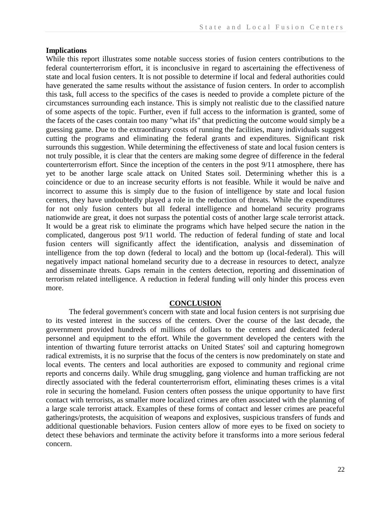#### **Implications**

While this report illustrates some notable success stories of fusion centers contributions to the federal counterterrorism effort, it is inconclusive in regard to ascertaining the effectiveness of state and local fusion centers. It is not possible to determine if local and federal authorities could have generated the same results without the assistance of fusion centers. In order to accomplish this task, full access to the specifics of the cases is needed to provide a complete picture of the circumstances surrounding each instance. This is simply not realistic due to the classified nature of some aspects of the topic. Further, even if full access to the information is granted, some of the facets of the cases contain too many "what ifs" that predicting the outcome would simply be a guessing game. Due to the extraordinary costs of running the facilities, many individuals suggest cutting the programs and eliminating the federal grants and expenditures. Significant risk surrounds this suggestion. While determining the effectiveness of state and local fusion centers is not truly possible, it is clear that the centers are making some degree of difference in the federal counterterrorism effort. Since the inception of the centers in the post 9/11 atmosphere, there has yet to be another large scale attack on United States soil. Determining whether this is a coincidence or due to an increase security efforts is not feasible. While it would be naïve and incorrect to assume this is simply due to the fusion of intelligence by state and local fusion centers, they have undoubtedly played a role in the reduction of threats. While the expenditures for not only fusion centers but all federal intelligence and homeland security programs nationwide are great, it does not surpass the potential costs of another large scale terrorist attack. It would be a great risk to eliminate the programs which have helped secure the nation in the complicated, dangerous post 9/11 world. The reduction of federal funding of state and local fusion centers will significantly affect the identification, analysis and dissemination of intelligence from the top down (federal to local) and the bottom up (local-federal). This will negatively impact national homeland security due to a decrease in resources to detect, analyze and disseminate threats. Gaps remain in the centers detection, reporting and dissemination of terrorism related intelligence. A reduction in federal funding will only hinder this process even more.

#### **CONCLUSION**

The federal government's concern with state and local fusion centers is not surprising due to its vested interest in the success of the centers. Over the course of the last decade, the government provided hundreds of millions of dollars to the centers and dedicated federal personnel and equipment to the effort. While the government developed the centers with the intention of thwarting future terrorist attacks on United States' soil and capturing homegrown radical extremists, it is no surprise that the focus of the centers is now predominately on state and local events. The centers and local authorities are exposed to community and regional crime reports and concerns daily. While drug smuggling, gang violence and human trafficking are not directly associated with the federal counterterrorism effort, eliminating theses crimes is a vital role in securing the homeland. Fusion centers often possess the unique opportunity to have first contact with terrorists, as smaller more localized crimes are often associated with the planning of a large scale terrorist attack. Examples of these forms of contact and lesser crimes are peaceful gatherings/protests, the acquisition of weapons and explosives, suspicious transfers of funds and additional questionable behaviors. Fusion centers allow of more eyes to be fixed on society to detect these behaviors and terminate the activity before it transforms into a more serious federal concern.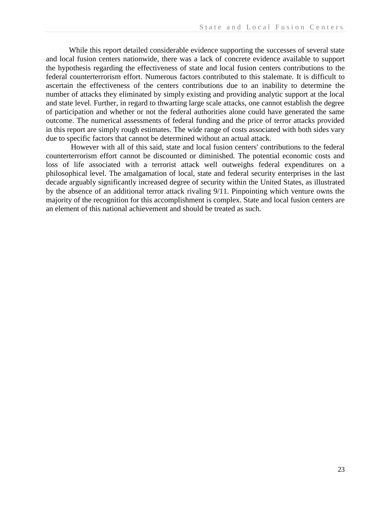While this report detailed considerable evidence supporting the successes of several state and local fusion centers nationwide, there was a lack of concrete evidence available to support the hypothesis regarding the effectiveness of state and local fusion centers contributions to the federal counterterrorism effort. Numerous factors contributed to this stalemate. It is difficult to ascertain the effectiveness of the centers contributions due to an inability to determine the number of attacks they eliminated by simply existing and providing analytic support at the local and state level. Further, in regard to thwarting large scale attacks, one cannot establish the degree of participation and whether or not the federal authorities alone could have generated the same outcome. The numerical assessments of federal funding and the price of terror attacks provided in this report are simply rough estimates. The wide range of costs associated with both sides vary due to specific factors that cannot be determined without an actual attack.

However with all of this said, state and local fusion centers' contributions to the federal counterterrorism effort cannot be discounted or diminished. The potential economic costs and loss of life associated with a terrorist attack well outweighs federal expenditures on a philosophical level. The amalgamation of local, state and federal security enterprises in the last decade arguably significantly increased degree of security within the United States, as illustrated by the absence of an additional terror attack rivaling 9/11. Pinpointing which venture owns the majority of the recognition for this accomplishment is complex. State and local fusion centers are an element of this national achievement and should be treated as such.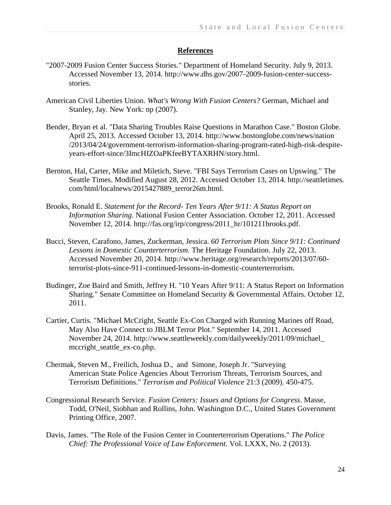## **References**

- "2007-2009 Fusion Center Success Stories." Department of Homeland Security. July 9, 2013. Accessed November 13, 2014. http://www.dhs.gov/2007-2009-fusion-center-successstories.
- American Civil Liberties Union. *What's Wrong With Fusion Centers?* German, Michael and Stanley, Jay. New York: np (2007).
- Bender, Bryan et al. "Data Sharing Troubles Raise Questions in Marathon Case." Boston Globe. April 25, 2013. Accessed October 13, 2014. http://www.bostonglobe.com/news/nation /2013/04/24/government-terrorism-information-sharing-program-rated-high-risk-despiteyears-effort-since/3ImcHIZOaPKfeeBYTAXRHN/story.html.
- Bernton, Hal, Carter, Mike and Miletich, Steve. "FBI Says Terrorism Cases on Upswing." The Seattle Times. Modified August 28, 2012. Accessed October 13, 2014. http://seattletimes. com/html/localnews/2015427889\_terror26m.html.
- Brooks, Ronald E. *Statement for the Record- Ten Years After 9/11: A Status Report on Information Sharing*. National Fusion Center Association. October 12, 2011. Accessed November 12, 2014. http://fas.org/irp/congress/2011\_hr/101211brooks.pdf.
- Bucci, Steven, Carafono, James, Zuckerman, Jessica. *60 Terrorism Plots Since 9/11: Continued Lessons in Domestic Counterterrorism.* The Heritage Foundation. July 22, 2013. Accessed November 20, 2014. http://www.heritage.org/research/reports/2013/07/60 terrorist-plots-since-911-continued-lessons-in-domestic-counterterrorism.
- Budinger, Zoe Baird and Smith, Jeffrey H. "10 Years After 9/11: A Status Report on Information Sharing." Senate Committee on Homeland Security & Governmental Affairs. October 12, 2011.
- Cartier, Curtis. "Michael McCright, Seattle Ex-Con Charged with Running Marines off Road, May Also Have Connect to JBLM Terror Plot." September 14, 2011. Accessed November 24, 2014. http://www.seattleweekly.com/dailyweekly/2011/09/michael\_ mccright\_seattle\_ex-co.php.
- Chermak, Steven M., Freilich, Joshua D., and Simone, Joseph Jr. "Surveying American State Police Agencies About Terrorism Threats, Terrorism Sources, and Terrorism Definitions." *Terrorism and Political Violence* 21:3 (2009). 450-475.
- Congressional Research Service. *Fusion Centers: Issues and Options for Congress*. Masse, Todd, O'Neil, Siobhan and Rollins, John. Washington D.C., United States Government Printing Office, 2007.
- Davis, James. "The Role of the Fusion Center in Counterterrorism Operations." *The Police Chief: The Professional Voice of Law Enforcement*. Vol. LXXX, No. 2 (2013).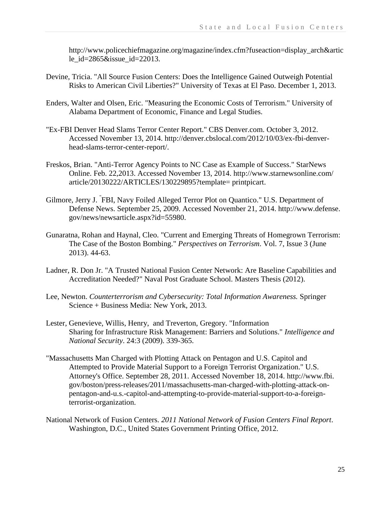http://www.policechiefmagazine.org/magazine/index.cfm?fuseaction=display\_arch&artic le  $id = 2865 \&$ issue  $id = 22013$ .

- Devine, Tricia. "All Source Fusion Centers: Does the Intelligence Gained Outweigh Potential Risks to American Civil Liberties?" University of Texas at El Paso. December 1, 2013.
- Enders, Walter and Olsen, Eric. "Measuring the Economic Costs of Terrorism." University of Alabama Department of Economic, Finance and Legal Studies.
- "Ex-FBI Denver Head Slams Terror Center Report." CBS Denver.com. October 3, 2012. Accessed November 13, 2014. http://denver.cbslocal.com/2012/10/03/ex-fbi-denverhead-slams-terror-center-report/.
- Freskos, Brian. "Anti-Terror Agency Points to NC Case as Example of Success." StarNews Online. Feb. 22,2013. Accessed November 13, 2014. http://www.starnewsonline.com/ article/20130222/ARTICLES/130229895?template= printpicart.
- Gilmore, Jerry J. " FBI, Navy Foiled Alleged Terror Plot on Quantico." U.S. Department of Defense News. September 25, 2009. Accessed November 21, 2014. http://www.defense. gov/news/newsarticle.aspx?id=55980.
- Gunaratna, Rohan and Haynal, Cleo. "Current and Emerging Threats of Homegrown Terrorism: The Case of the Boston Bombing." *Perspectives on Terrorism*. Vol. 7, Issue 3 (June 2013). 44-63.
- Ladner, R. Don Jr. "A Trusted National Fusion Center Network: Are Baseline Capabilities and Accreditation Needed?" Naval Post Graduate School. Masters Thesis (2012).
- Lee, Newton. *Counterterrorism and Cybersecurity: Total Information Awareness.* Springer Science + Business Media: New York, 2013.
- Lester, Genevieve, Willis, Henry, and Treverton, Gregory. "Information Sharing for Infrastructure Risk Management: Barriers and Solutions." *Intelligence and National Security*. 24:3 (2009). 339-365.
- "Massachusetts Man Charged with Plotting Attack on Pentagon and U.S. Capitol and Attempted to Provide Material Support to a Foreign Terrorist Organization." U.S. Attorney's Office. September 28, 2011. Accessed November 18, 2014. http://www.fbi. gov/boston/press-releases/2011/massachusetts-man-charged-with-plotting-attack-onpentagon-and-u.s.-capitol-and-attempting-to-provide-material-support-to-a-foreignterrorist-organization.
- National Network of Fusion Centers. *2011 National Network of Fusion Centers Final Report*. Washington, D.C., United States Government Printing Office, 2012.